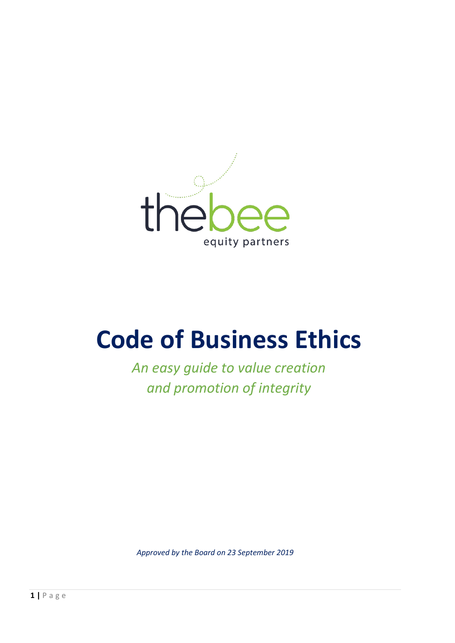

# **Code of Business Ethics**

*An easy guide to value creation and promotion of integrity*

*Approved by the Board on 23 September 2019*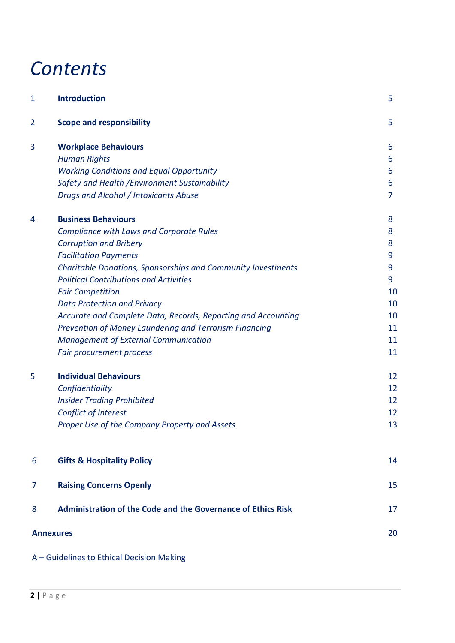# *Contents*

| $\mathbf{1}$     | <b>Introduction</b>                                           | 5  |
|------------------|---------------------------------------------------------------|----|
| $\overline{2}$   | <b>Scope and responsibility</b>                               | 5  |
| 3                | <b>Workplace Behaviours</b>                                   | 6  |
|                  | <b>Human Rights</b>                                           | 6  |
|                  | <b>Working Conditions and Equal Opportunity</b>               | 6  |
|                  | Safety and Health / Environment Sustainability                | 6  |
|                  | Drugs and Alcohol / Intoxicants Abuse                         | 7  |
| 4                | <b>Business Behaviours</b>                                    | 8  |
|                  | <b>Compliance with Laws and Corporate Rules</b>               | 8  |
|                  | <b>Corruption and Bribery</b>                                 | 8  |
|                  | <b>Facilitation Payments</b>                                  | 9  |
|                  | Charitable Donations, Sponsorships and Community Investments  | 9  |
|                  | <b>Political Contributions and Activities</b>                 | 9  |
|                  | <b>Fair Competition</b>                                       | 10 |
|                  | <b>Data Protection and Privacy</b>                            | 10 |
|                  | Accurate and Complete Data, Records, Reporting and Accounting | 10 |
|                  | Prevention of Money Laundering and Terrorism Financing        | 11 |
|                  | <b>Management of External Communication</b>                   | 11 |
|                  | <b>Fair procurement process</b>                               | 11 |
| 5                | <b>Individual Behaviours</b>                                  | 12 |
|                  | Confidentiality                                               | 12 |
|                  | <b>Insider Trading Prohibited</b>                             | 12 |
|                  | Conflict of Interest                                          | 12 |
|                  | Proper Use of the Company Property and Assets                 | 13 |
| 6                | <b>Gifts &amp; Hospitality Policy</b>                         | 14 |
| 7                | <b>Raising Concerns Openly</b>                                | 15 |
|                  |                                                               |    |
| 8                | Administration of the Code and the Governance of Ethics Risk  | 17 |
| <b>Annexures</b> |                                                               | 20 |
|                  |                                                               |    |

# A – Guidelines to Ethical Decision Making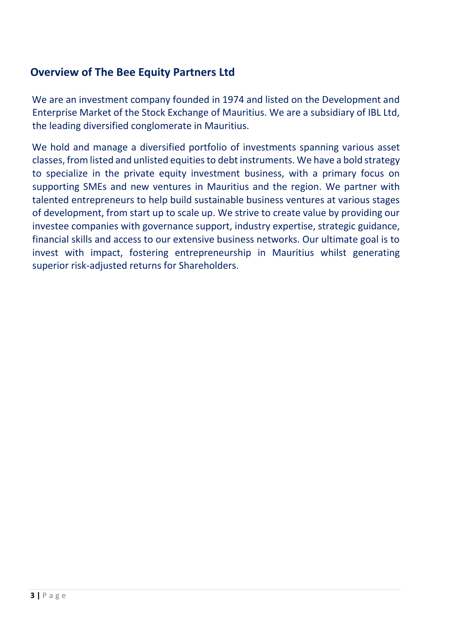# **Overview of The Bee Equity Partners Ltd**

We are an investment company founded in 1974 and listed on the Development and Enterprise Market of the Stock Exchange of Mauritius. We are a subsidiary of IBL Ltd, the leading diversified conglomerate in Mauritius.

We hold and manage a diversified portfolio of investments spanning various asset classes, from listed and unlisted equities to debt instruments. We have a bold strategy to specialize in the private equity investment business, with a primary focus on supporting SMEs and new ventures in Mauritius and the region. We partner with talented entrepreneurs to help build sustainable business ventures at various stages of development, from start up to scale up. We strive to create value by providing our investee companies with governance support, industry expertise, strategic guidance, financial skills and access to our extensive business networks. Our ultimate goal is to invest with impact, fostering entrepreneurship in Mauritius whilst generating superior risk-adjusted returns for Shareholders.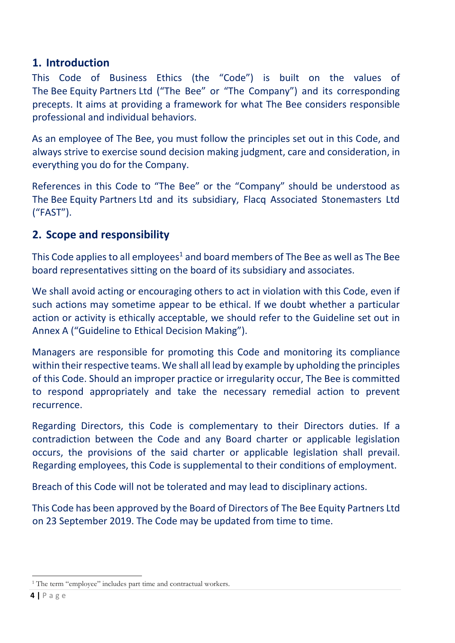# **1. Introduction**

This Code of Business Ethics (the "Code") is built on the values of The Bee Equity Partners Ltd ("The Bee" or "The Company") and its corresponding precepts. It aims at providing a framework for what The Bee considers responsible professional and individual behaviors.

As an employee of The Bee, you must follow the principles set out in this Code, and always strive to exercise sound decision making judgment, care and consideration, in everything you do for the Company.

References in this Code to "The Bee" or the "Company" should be understood as The Bee Equity Partners Ltd and its subsidiary, Flacq Associated Stonemasters Ltd ("FAST").

# **2. Scope and responsibility**

This Code applies to all employees<sup>1</sup> and board members of The Bee as well as The Bee board representatives sitting on the board of its subsidiary and associates.

We shall avoid acting or encouraging others to act in violation with this Code, even if such actions may sometime appear to be ethical. If we doubt whether a particular action or activity is ethically acceptable, we should refer to the Guideline set out in Annex A ("Guideline to Ethical Decision Making").

Managers are responsible for promoting this Code and monitoring its compliance within their respective teams. We shall all lead by example by upholding the principles of this Code. Should an improper practice or irregularity occur, The Bee is committed to respond appropriately and take the necessary remedial action to prevent recurrence.

Regarding Directors, this Code is complementary to their Directors duties. If a contradiction between the Code and any Board charter or applicable legislation occurs, the provisions of the said charter or applicable legislation shall prevail. Regarding employees, this Code is supplemental to their conditions of employment.

Breach of this Code will not be tolerated and may lead to disciplinary actions.

This Code has been approved by the Board of Directors of The Bee Equity Partners Ltd on 23 September 2019. The Code may be updated from time to time.

 $\overline{a}$ 

<sup>&</sup>lt;sup>1</sup> The term "employee" includes part time and contractual workers.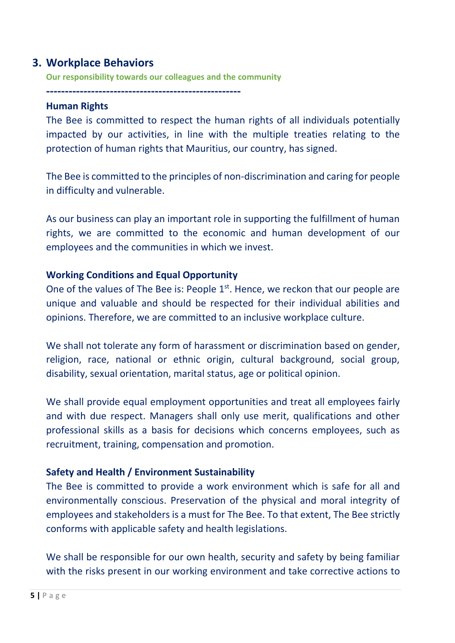#### **3. Workplace Behaviors**

**Our responsibility towards our colleagues and the community**

**----------------------------------------------------**

#### **Human Rights**

The Bee is committed to respect the human rights of all individuals potentially impacted by our activities, in line with the multiple treaties relating to the protection of human rights that Mauritius, our country, has signed.

The Bee is committed to the principles of non-discrimination and caring for people in difficulty and vulnerable.

As our business can play an important role in supporting the fulfillment of human rights, we are committed to the economic and human development of our employees and the communities in which we invest.

#### **Working Conditions and Equal Opportunity**

One of the values of The Bee is: People  $1<sup>st</sup>$ . Hence, we reckon that our people are unique and valuable and should be respected for their individual abilities and opinions. Therefore, we are committed to an inclusive workplace culture.

We shall not tolerate any form of harassment or discrimination based on gender, religion, race, national or ethnic origin, cultural background, social group, disability, sexual orientation, marital status, age or political opinion.

We shall provide equal employment opportunities and treat all employees fairly and with due respect. Managers shall only use merit, qualifications and other professional skills as a basis for decisions which concerns employees, such as recruitment, training, compensation and promotion.

#### **Safety and Health / Environment Sustainability**

The Bee is committed to provide a work environment which is safe for all and environmentally conscious. Preservation of the physical and moral integrity of employees and stakeholders is a must for The Bee. To that extent, The Bee strictly conforms with applicable safety and health legislations.

We shall be responsible for our own health, security and safety by being familiar with the risks present in our working environment and take corrective actions to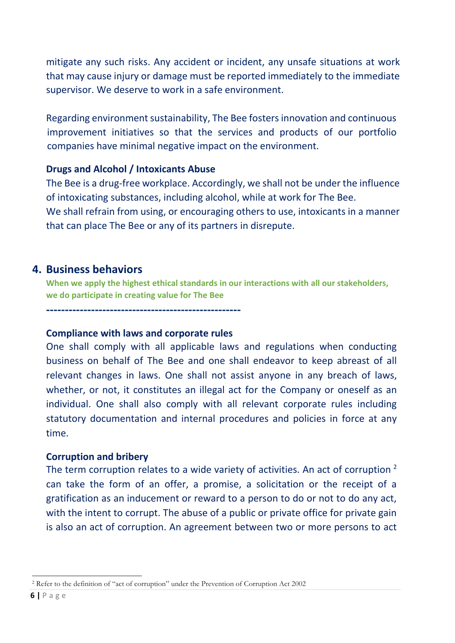mitigate any such risks. Any accident or incident, any unsafe situations at work that may cause injury or damage must be reported immediately to the immediate supervisor. We deserve to work in a safe environment.

Regarding environment sustainability, The Bee fostersinnovation and continuous improvement initiatives so that the services and products of our portfolio companies have minimal negative impact on the environment.

#### **Drugs and Alcohol / Intoxicants Abuse**

The Bee is a drug-free workplace. Accordingly, we shall not be under the influence of intoxicating substances, including alcohol, while at work for The Bee. We shall refrain from using, or encouraging others to use, intoxicants in a manner that can place The Bee or any of its partners in disrepute.

## **4. Business behaviors**

**When we apply the highest ethical standards in our interactions with all our stakeholders, we do participate in creating value for The Bee**

**----------------------------------------------------**

#### **Compliance with laws and corporate rules**

One shall comply with all applicable laws and regulations when conducting business on behalf of The Bee and one shall endeavor to keep abreast of all relevant changes in laws. One shall not assist anyone in any breach of laws, whether, or not, it constitutes an illegal act for the Company or oneself as an individual. One shall also comply with all relevant corporate rules including statutory documentation and internal procedures and policies in force at any time.

#### **Corruption and bribery**

The term corruption relates to a wide variety of activities. An act of corruption <sup>2</sup> can take the form of an offer, a promise, a solicitation or the receipt of a gratification as an inducement or reward to a person to do or not to do any act, with the intent to corrupt. The abuse of a public or private office for private gain is also an act of corruption. An agreement between two or more persons to act

 $\overline{a}$ <sup>2</sup> Refer to the definition of "act of corruption" under the Prevention of Corruption Act 2002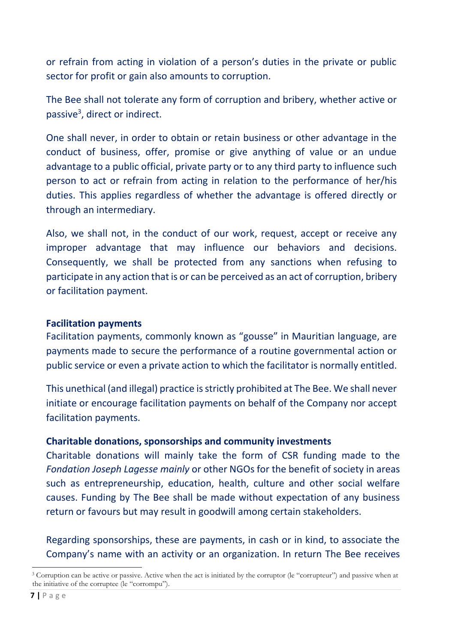or refrain from acting in violation of a person's duties in the private or public sector for profit or gain also amounts to corruption.

The Bee shall not tolerate any form of corruption and bribery, whether active or passive<sup>3</sup>, direct or indirect.

One shall never, in order to obtain or retain business or other advantage in the conduct of business, offer, promise or give anything of value or an undue advantage to a public official, private party or to any third party to influence such person to act or refrain from acting in relation to the performance of her/his duties. This applies regardless of whether the advantage is offered directly or through an intermediary.

Also, we shall not, in the conduct of our work, request, accept or receive any improper advantage that may influence our behaviors and decisions. Consequently, we shall be protected from any sanctions when refusing to participate in any action that is or can be perceived as an act of corruption, bribery or facilitation payment.

#### **Facilitation payments**

Facilitation payments, commonly known as "gousse" in Mauritian language, are payments made to secure the performance of a routine governmental action or public service or even a private action to which the facilitator is normally entitled.

This unethical (and illegal) practice is strictly prohibited at The Bee. We shall never initiate or encourage facilitation payments on behalf of the Company nor accept facilitation payments.

#### **Charitable donations, sponsorships and community investments**

Charitable donations will mainly take the form of CSR funding made to the *Fondation Joseph Lagesse mainly* or other NGOs for the benefit of society in areas such as entrepreneurship, education, health, culture and other social welfare causes. Funding by The Bee shall be made without expectation of any business return or favours but may result in goodwill among certain stakeholders.

Regarding sponsorships, these are payments, in cash or in kind, to associate the Company's name with an activity or an organization. In return The Bee receives

 $\overline{a}$ 

<sup>3</sup> Corruption can be active or passive. Active when the act is initiated by the corruptor (le "corrupteur") and passive when at the initiative of the corruptee (le "corrompu").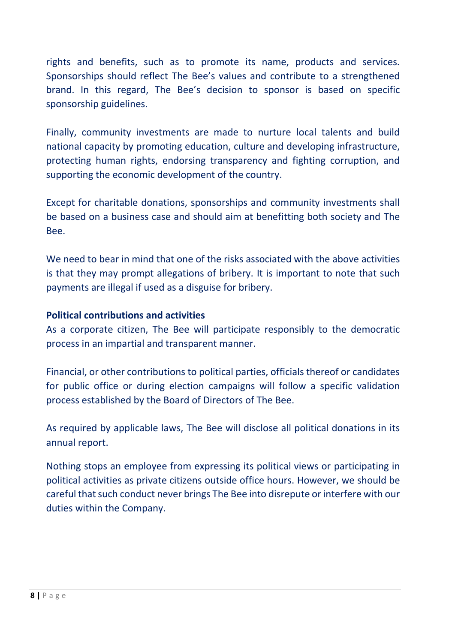rights and benefits, such as to promote its name, products and services. Sponsorships should reflect The Bee's values and contribute to a strengthened brand. In this regard, The Bee's decision to sponsor is based on specific sponsorship guidelines.

Finally, community investments are made to nurture local talents and build national capacity by promoting education, culture and developing infrastructure, protecting human rights, endorsing transparency and fighting corruption, and supporting the economic development of the country.

Except for charitable donations, sponsorships and community investments shall be based on a business case and should aim at benefitting both society and The Bee.

We need to bear in mind that one of the risks associated with the above activities is that they may prompt allegations of bribery. It is important to note that such payments are illegal if used as a disguise for bribery.

#### **Political contributions and activities**

As a corporate citizen, The Bee will participate responsibly to the democratic process in an impartial and transparent manner.

Financial, or other contributions to political parties, officials thereof or candidates for public office or during election campaigns will follow a specific validation process established by the Board of Directors of The Bee.

As required by applicable laws, The Bee will disclose all political donations in its annual report.

Nothing stops an employee from expressing its political views or participating in political activities as private citizens outside office hours. However, we should be careful that such conduct never brings The Bee into disrepute or interfere with our duties within the Company.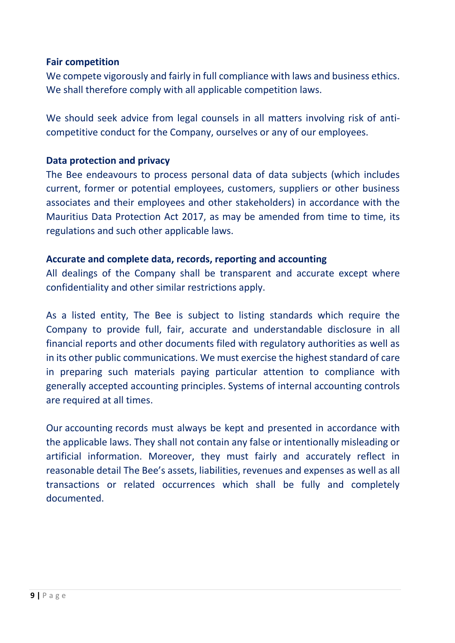#### **Fair competition**

We compete vigorously and fairly in full compliance with laws and business ethics. We shall therefore comply with all applicable competition laws.

We should seek advice from legal counsels in all matters involving risk of anticompetitive conduct for the Company, ourselves or any of our employees.

#### **Data protection and privacy**

The Bee endeavours to process personal data of data subjects (which includes current, former or potential employees, customers, suppliers or other business associates and their employees and other stakeholders) in accordance with the Mauritius Data Protection Act 2017, as may be amended from time to time, its regulations and such other applicable laws.

#### **Accurate and complete data, records, reporting and accounting**

All dealings of the Company shall be transparent and accurate except where confidentiality and other similar restrictions apply.

As a listed entity, The Bee is subject to listing standards which require the Company to provide full, fair, accurate and understandable disclosure in all financial reports and other documents filed with regulatory authorities as well as in its other public communications. We must exercise the highest standard of care in preparing such materials paying particular attention to compliance with generally accepted accounting principles. Systems of internal accounting controls are required at all times.

Our accounting records must always be kept and presented in accordance with the applicable laws. They shall not contain any false or intentionally misleading or artificial information. Moreover, they must fairly and accurately reflect in reasonable detail The Bee's assets, liabilities, revenues and expenses as well as all transactions or related occurrences which shall be fully and completely documented.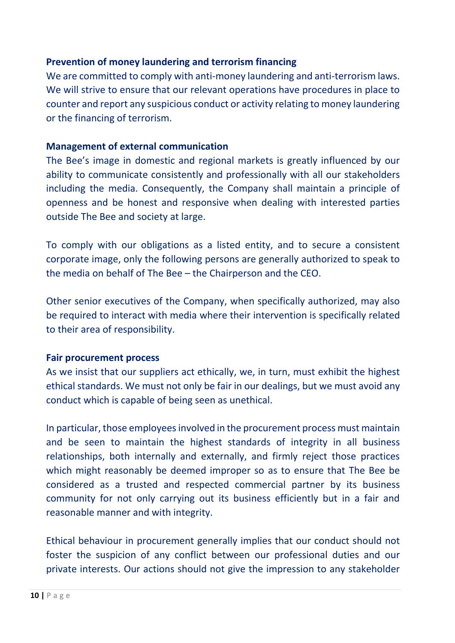#### **Prevention of money laundering and terrorism financing**

We are committed to comply with anti-money laundering and anti-terrorism laws. We will strive to ensure that our relevant operations have procedures in place to counter and report any suspicious conduct or activity relating to money laundering or the financing of terrorism.

#### **Management of external communication**

The Bee's image in domestic and regional markets is greatly influenced by our ability to communicate consistently and professionally with all our stakeholders including the media. Consequently, the Company shall maintain a principle of openness and be honest and responsive when dealing with interested parties outside The Bee and society at large.

To comply with our obligations as a listed entity, and to secure a consistent corporate image, only the following persons are generally authorized to speak to the media on behalf of The Bee – the Chairperson and the CEO.

Other senior executives of the Company, when specifically authorized, may also be required to interact with media where their intervention is specifically related to their area of responsibility.

#### **Fair procurement process**

As we insist that our suppliers act ethically, we, in turn, must exhibit the highest ethical standards. We must not only be fair in our dealings, but we must avoid any conduct which is capable of being seen as unethical.

In particular, those employeesinvolved in the procurement process must maintain and be seen to maintain the highest standards of integrity in all business relationships, both internally and externally, and firmly reject those practices which might reasonably be deemed improper so as to ensure that The Bee be considered as a trusted and respected commercial partner by its business community for not only carrying out its business efficiently but in a fair and reasonable manner and with integrity.

Ethical behaviour in procurement generally implies that our conduct should not foster the suspicion of any conflict between our professional duties and our private interests. Our actions should not give the impression to any stakeholder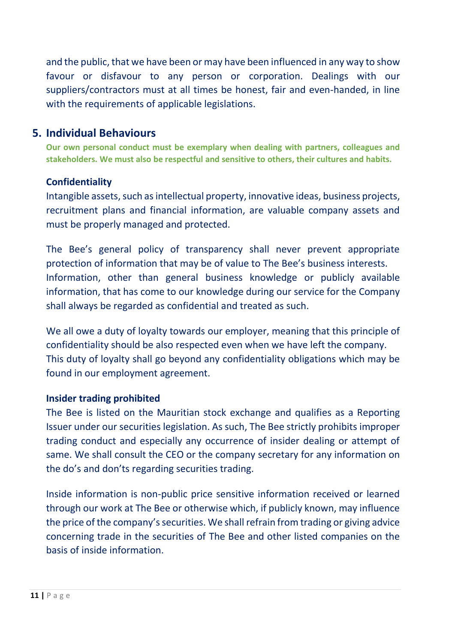and the public, that we have been or may have been influenced in any way to show favour or disfavour to any person or corporation. Dealings with our suppliers/contractors must at all times be honest, fair and even-handed, in line with the requirements of applicable legislations.

#### **5. Individual Behaviours**

**Our own personal conduct must be exemplary when dealing with partners, colleagues and stakeholders. We must also be respectful and sensitive to others, their cultures and habits.**

#### **Confidentiality**

Intangible assets, such as intellectual property, innovative ideas, business projects, recruitment plans and financial information, are valuable company assets and must be properly managed and protected.

The Bee's general policy of transparency shall never prevent appropriate protection of information that may be of value to The Bee's business interests. Information, other than general business knowledge or publicly available information, that has come to our knowledge during our service for the Company shall always be regarded as confidential and treated as such.

We all owe a duty of loyalty towards our employer, meaning that this principle of confidentiality should be also respected even when we have left the company. This duty of loyalty shall go beyond any confidentiality obligations which may be found in our employment agreement.

#### **Insider trading prohibited**

The Bee is listed on the Mauritian stock exchange and qualifies as a Reporting Issuer under our securities legislation. As such, The Bee strictly prohibits improper trading conduct and especially any occurrence of insider dealing or attempt of same. We shall consult the CEO or the company secretary for any information on the do's and don'ts regarding securities trading.

Inside information is non-public price sensitive information received or learned through our work at The Bee or otherwise which, if publicly known, may influence the price of the company's securities. We shall refrain from trading or giving advice concerning trade in the securities of The Bee and other listed companies on the basis of inside information.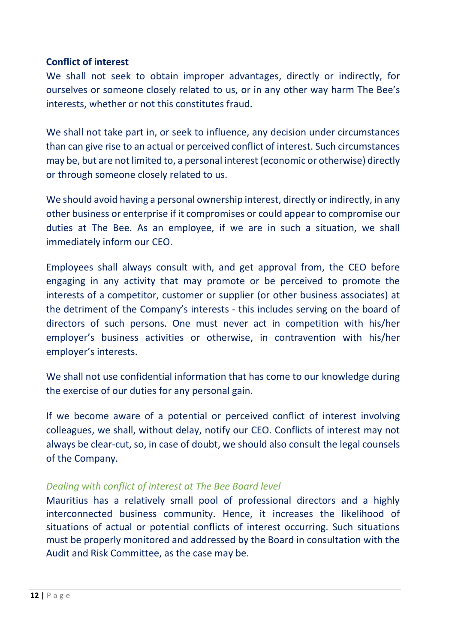#### **Conflict of interest**

We shall not seek to obtain improper advantages, directly or indirectly, for ourselves or someone closely related to us, or in any other way harm The Bee's interests, whether or not this constitutes fraud.

We shall not take part in, or seek to influence, any decision under circumstances than can give rise to an actual or perceived conflict of interest. Such circumstances may be, but are not limited to, a personal interest (economic or otherwise) directly or through someone closely related to us.

We should avoid having a personal ownership interest, directly or indirectly, in any other business or enterprise if it compromises or could appear to compromise our duties at The Bee. As an employee, if we are in such a situation, we shall immediately inform our CEO.

Employees shall always consult with, and get approval from, the CEO before engaging in any activity that may promote or be perceived to promote the interests of a competitor, customer or supplier (or other business associates) at the detriment of the Company's interests - this includes serving on the board of directors of such persons. One must never act in competition with his/her employer's business activities or otherwise, in contravention with his/her employer's interests.

We shall not use confidential information that has come to our knowledge during the exercise of our duties for any personal gain.

If we become aware of a potential or perceived conflict of interest involving colleagues, we shall, without delay, notify our CEO. Conflicts of interest may not always be clear-cut, so, in case of doubt, we should also consult the legal counsels of the Company.

#### *Dealing with conflict of interest at The Bee Board level*

Mauritius has a relatively small pool of professional directors and a highly interconnected business community. Hence, it increases the likelihood of situations of actual or potential conflicts of interest occurring. Such situations must be properly monitored and addressed by the Board in consultation with the Audit and Risk Committee, as the case may be.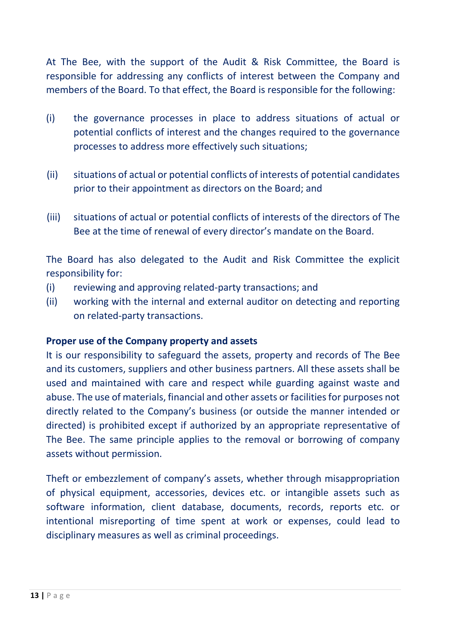At The Bee, with the support of the Audit & Risk Committee, the Board is responsible for addressing any conflicts of interest between the Company and members of the Board. To that effect, the Board is responsible for the following:

- (i) the governance processes in place to address situations of actual or potential conflicts of interest and the changes required to the governance processes to address more effectively such situations;
- (ii) situations of actual or potential conflicts of interests of potential candidates prior to their appointment as directors on the Board; and
- (iii) situations of actual or potential conflicts of interests of the directors of The Bee at the time of renewal of every director's mandate on the Board.

The Board has also delegated to the Audit and Risk Committee the explicit responsibility for:

- (i) reviewing and approving related-party transactions; and
- (ii) working with the internal and external auditor on detecting and reporting on related-party transactions.

#### **Proper use of the Company property and assets**

It is our responsibility to safeguard the assets, property and records of The Bee and its customers, suppliers and other business partners. All these assets shall be used and maintained with care and respect while guarding against waste and abuse. The use of materials, financial and other assets or facilities for purposes not directly related to the Company's business (or outside the manner intended or directed) is prohibited except if authorized by an appropriate representative of The Bee. The same principle applies to the removal or borrowing of company assets without permission.

Theft or embezzlement of company's assets, whether through misappropriation of physical equipment, accessories, devices etc. or intangible assets such as software information, client database, documents, records, reports etc. or intentional misreporting of time spent at work or expenses, could lead to disciplinary measures as well as criminal proceedings.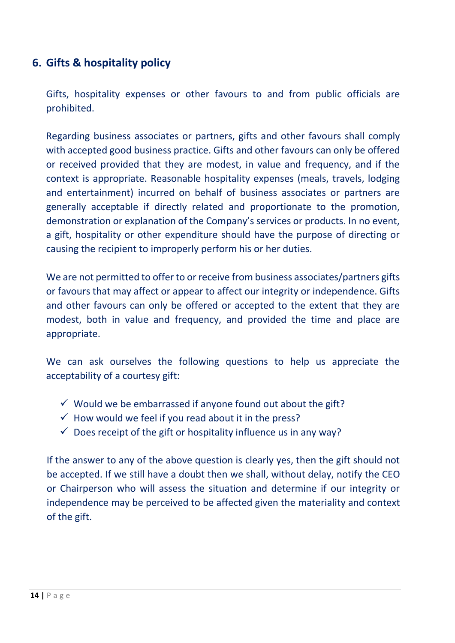# **6. Gifts & hospitality policy**

Gifts, hospitality expenses or other favours to and from public officials are prohibited.

Regarding business associates or partners, gifts and other favours shall comply with accepted good business practice. Gifts and other favours can only be offered or received provided that they are modest, in value and frequency, and if the context is appropriate. Reasonable hospitality expenses (meals, travels, lodging and entertainment) incurred on behalf of business associates or partners are generally acceptable if directly related and proportionate to the promotion, demonstration or explanation of the Company's services or products. In no event, a gift, hospitality or other expenditure should have the purpose of directing or causing the recipient to improperly perform his or her duties.

We are not permitted to offer to or receive from business associates/partners gifts or favours that may affect or appear to affect our integrity or independence. Gifts and other favours can only be offered or accepted to the extent that they are modest, both in value and frequency, and provided the time and place are appropriate.

We can ask ourselves the following questions to help us appreciate the acceptability of a courtesy gift:

- $\checkmark$  Would we be embarrassed if anyone found out about the gift?
- $\checkmark$  How would we feel if you read about it in the press?
- $\checkmark$  Does receipt of the gift or hospitality influence us in any way?

If the answer to any of the above question is clearly yes, then the gift should not be accepted. If we still have a doubt then we shall, without delay, notify the CEO or Chairperson who will assess the situation and determine if our integrity or independence may be perceived to be affected given the materiality and context of the gift.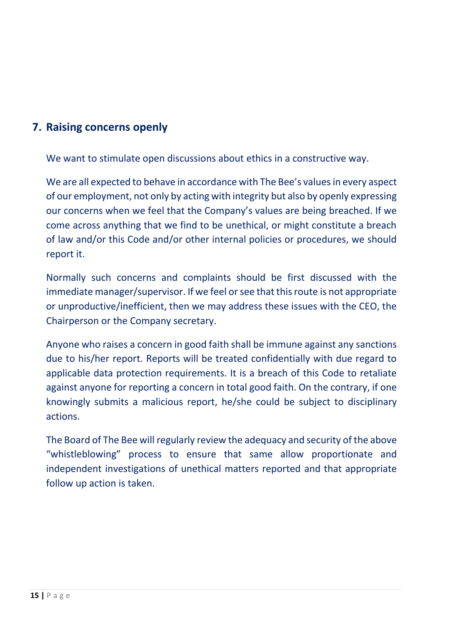# **7. Raising concerns openly**

We want to stimulate open discussions about ethics in a constructive way.

We are all expected to behave in accordance with The Bee's values in every aspect of our employment, not only by acting with integrity but also by openly expressing our concerns when we feel that the Company's values are being breached. If we come across anything that we find to be unethical, or might constitute a breach of law and/or this Code and/or other internal policies or procedures, we should report it.

Normally such concerns and complaints should be first discussed with the immediate manager/supervisor. If we feel or see that this route is not appropriate or unproductive/inefficient, then we may address these issues with the CEO, the Chairperson or the Company secretary.

Anyone who raises a concern in good faith shall be immune against any sanctions due to his/her report. Reports will be treated confidentially with due regard to applicable data protection requirements. It is a breach of this Code to retaliate against anyone for reporting a concern in total good faith. On the contrary, if one knowingly submits a malicious report, he/she could be subject to disciplinary actions.

The Board of The Bee will regularly review the adequacy and security of the above "whistleblowing" process to ensure that same allow proportionate and independent investigations of unethical matters reported and that appropriate follow up action is taken.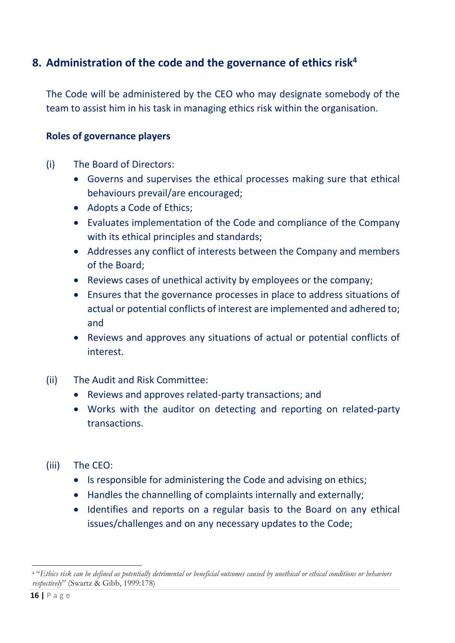# **8. Administration of the code and the governance of ethics risk<sup>4</sup>**

The Code will be administered by the CEO who may designate somebody of the team to assist him in his task in managing ethics risk within the organisation.

#### **Roles of governance players**

- (i) The Board of Directors:
	- Governs and supervises the ethical processes making sure that ethical behaviours prevail/are encouraged;
	- Adopts a Code of Ethics;
	- Evaluates implementation of the Code and compliance of the Company with its ethical principles and standards;
	- Addresses any conflict of interests between the Company and members of the Board;
	- Reviews cases of unethical activity by employees or the company;
	- Ensures that the governance processes in place to address situations of actual or potential conflicts of interest are implemented and adhered to; and
	- Reviews and approves any situations of actual or potential conflicts of interest.
- (ii) The Audit and Risk Committee:
	- Reviews and approves related-party transactions; and
	- Works with the auditor on detecting and reporting on related-party transactions.
- (iii) The CEO:
	- Is responsible for administering the Code and advising on ethics;
	- Handles the channelling of complaints internally and externally;
	- Identifies and reports on a regular basis to the Board on any ethical issues/challenges and on any necessary updates to the Code;

 $\overline{a}$ <sup>4</sup> "*Ethics risk can be defined as potentially detrimental or beneficial outcomes caused by unethical or ethical conditions or behaviors respectively*" (Swartz & Gibb, 1999:178)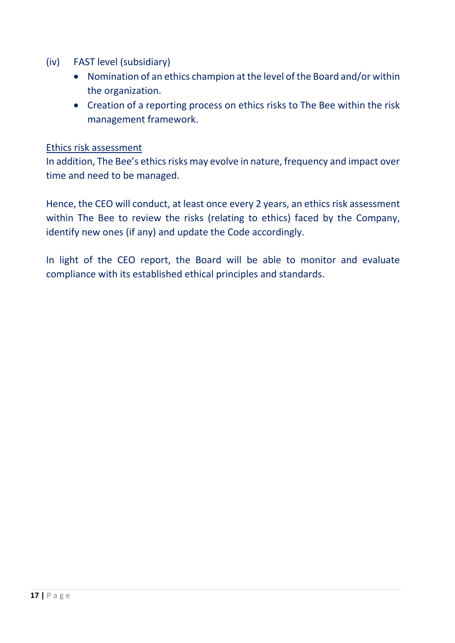- (iv) FAST level (subsidiary)
	- Nomination of an ethics champion at the level of the Board and/or within the organization.
	- Creation of a reporting process on ethics risks to The Bee within the risk management framework.

#### Ethics risk assessment

In addition, The Bee's ethics risks may evolve in nature, frequency and impact over time and need to be managed.

Hence, the CEO will conduct, at least once every 2 years, an ethics risk assessment within The Bee to review the risks (relating to ethics) faced by the Company, identify new ones (if any) and update the Code accordingly.

In light of the CEO report, the Board will be able to monitor and evaluate compliance with its established ethical principles and standards.